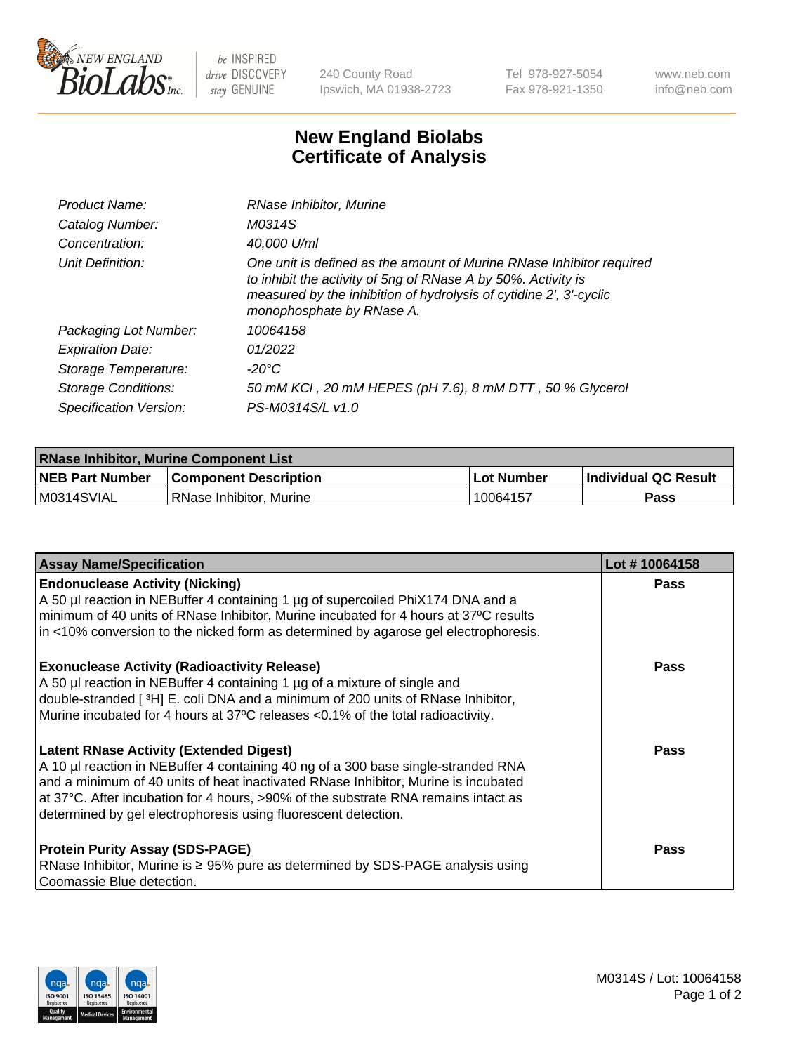

 $be$  INSPIRED drive DISCOVERY stay GENUINE

240 County Road Ipswich, MA 01938-2723 Tel 978-927-5054 Fax 978-921-1350 www.neb.com info@neb.com

## **New England Biolabs Certificate of Analysis**

| Product Name:           | RNase Inhibitor, Murine                                                                                                                                                                                                                  |
|-------------------------|------------------------------------------------------------------------------------------------------------------------------------------------------------------------------------------------------------------------------------------|
| Catalog Number:         | M0314S                                                                                                                                                                                                                                   |
| Concentration:          | 40,000 U/ml                                                                                                                                                                                                                              |
| Unit Definition:        | One unit is defined as the amount of Murine RNase Inhibitor required<br>to inhibit the activity of 5ng of RNase A by 50%. Activity is<br>measured by the inhibition of hydrolysis of cytidine 2', 3'-cyclic<br>monophosphate by RNase A. |
| Packaging Lot Number:   | 10064158                                                                                                                                                                                                                                 |
| <b>Expiration Date:</b> | 01/2022                                                                                                                                                                                                                                  |
| Storage Temperature:    | -20°C                                                                                                                                                                                                                                    |
| Storage Conditions:     | 50 mM KCI, 20 mM HEPES (pH 7.6), 8 mM DTT, 50 % Glycerol                                                                                                                                                                                 |
| Specification Version:  | PS-M0314S/L v1.0                                                                                                                                                                                                                         |

| <b>RNase Inhibitor, Murine Component List</b> |                              |            |                             |  |
|-----------------------------------------------|------------------------------|------------|-----------------------------|--|
| <b>NEB Part Number</b>                        | <b>Component Description</b> | Lot Number | <b>Individual QC Result</b> |  |
| M0314SVIAL                                    | RNase Inhibitor, Murine      | 10064157   | Pass                        |  |

| <b>Assay Name/Specification</b>                                                                                                                                                                                                                                                                                                                                                   | Lot #10064158 |
|-----------------------------------------------------------------------------------------------------------------------------------------------------------------------------------------------------------------------------------------------------------------------------------------------------------------------------------------------------------------------------------|---------------|
| <b>Endonuclease Activity (Nicking)</b><br>A 50 µl reaction in NEBuffer 4 containing 1 µg of supercoiled PhiX174 DNA and a<br>minimum of 40 units of RNase Inhibitor, Murine incubated for 4 hours at 37°C results<br>in <10% conversion to the nicked form as determined by agarose gel electrophoresis.                                                                          | Pass          |
| <b>Exonuclease Activity (Radioactivity Release)</b><br>A 50 µl reaction in NEBuffer 4 containing 1 µg of a mixture of single and<br>double-stranded [3H] E. coli DNA and a minimum of 200 units of RNase Inhibitor,<br>Murine incubated for 4 hours at 37°C releases <0.1% of the total radioactivity.                                                                            | <b>Pass</b>   |
| <b>Latent RNase Activity (Extended Digest)</b><br>A 10 µl reaction in NEBuffer 4 containing 40 ng of a 300 base single-stranded RNA<br>and a minimum of 40 units of heat inactivated RNase Inhibitor, Murine is incubated<br>at 37°C. After incubation for 4 hours, >90% of the substrate RNA remains intact as<br>determined by gel electrophoresis using fluorescent detection. | <b>Pass</b>   |
| <b>Protein Purity Assay (SDS-PAGE)</b><br>RNase Inhibitor, Murine is ≥ 95% pure as determined by SDS-PAGE analysis using<br>Coomassie Blue detection.                                                                                                                                                                                                                             | <b>Pass</b>   |